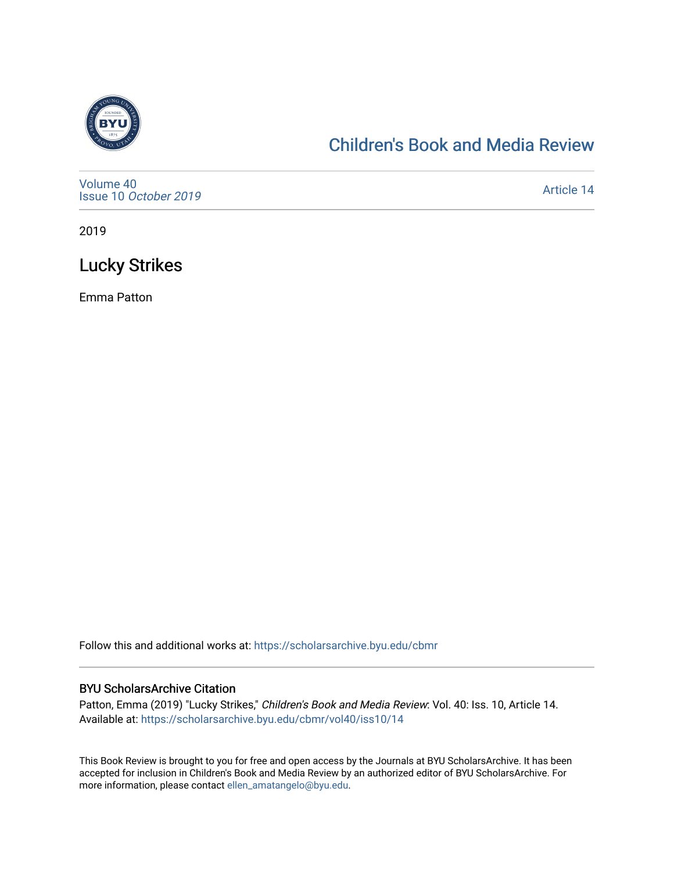

## [Children's Book and Media Review](https://scholarsarchive.byu.edu/cbmr)

[Volume 40](https://scholarsarchive.byu.edu/cbmr/vol40) Issue 10 [October 2019](https://scholarsarchive.byu.edu/cbmr/vol40/iss10)

[Article 14](https://scholarsarchive.byu.edu/cbmr/vol40/iss10/14) 

2019

# Lucky Strikes

Emma Patton

Follow this and additional works at: [https://scholarsarchive.byu.edu/cbmr](https://scholarsarchive.byu.edu/cbmr?utm_source=scholarsarchive.byu.edu%2Fcbmr%2Fvol40%2Fiss10%2F14&utm_medium=PDF&utm_campaign=PDFCoverPages) 

#### BYU ScholarsArchive Citation

Patton, Emma (2019) "Lucky Strikes," Children's Book and Media Review: Vol. 40: Iss. 10, Article 14. Available at: [https://scholarsarchive.byu.edu/cbmr/vol40/iss10/14](https://scholarsarchive.byu.edu/cbmr/vol40/iss10/14?utm_source=scholarsarchive.byu.edu%2Fcbmr%2Fvol40%2Fiss10%2F14&utm_medium=PDF&utm_campaign=PDFCoverPages) 

This Book Review is brought to you for free and open access by the Journals at BYU ScholarsArchive. It has been accepted for inclusion in Children's Book and Media Review by an authorized editor of BYU ScholarsArchive. For more information, please contact [ellen\\_amatangelo@byu.edu.](mailto:ellen_amatangelo@byu.edu)